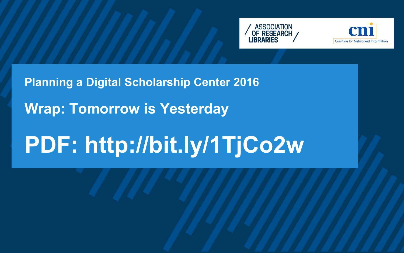# **Planning a Digital Scholarship Center 2016 Wrap: Tomorrow is Yesterday PDF: http://bit.ly/1TjCo2w**



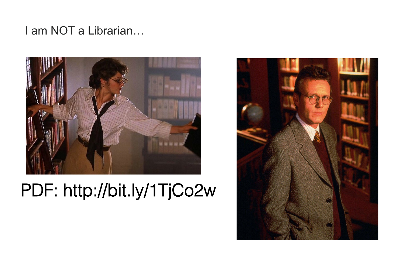#### I am NOT a Librarian…



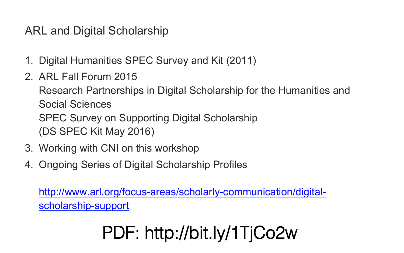### ARL and Digital Scholarship

- 1. Digital Humanities SPEC Survey and Kit (2011)
- 2. ARL Fall Forum 2015 Research Partnerships in Digital Scholarship for the Humanities and Social Sciences SPEC Survey on Supporting Digital Scholarship (DS SPEC Kit May 2016)
- 3. Working with CNI on this workshop
- 4. Ongoing Series of Digital Scholarship Profiles

http://www.arl.org/focus-areas/scholarly-communication/digitalscholarship-support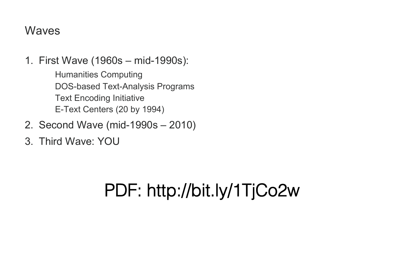#### Waves

- 1. First Wave (1960s mid-1990s): Humanities Computing DOS-based Text-Analysis Programs Text Encoding Initiative E-Text Centers (20 by 1994)
- 2. Second Wave (mid-1990s 2010)
- 3. Third Wave: YOU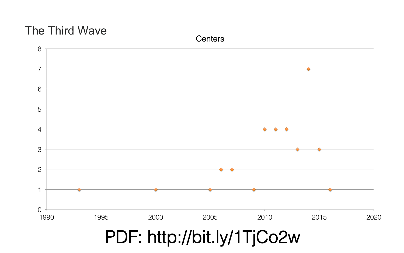### The Third Wave



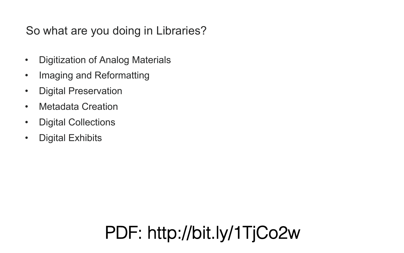### So what are you doing in Libraries?

- Digitization of Analog Materials
- Imaging and Reformatting
- Digital Preservation
- Metadata Creation
- Digital Collections
- Digital Exhibits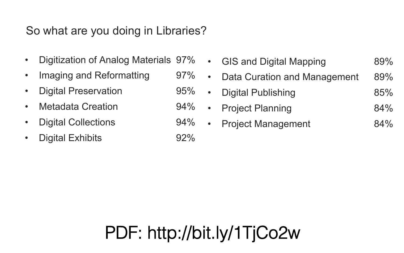### So what are you doing in Libraries?

- Digitization of Analog Materials 97%
- Imaging and Reformatting 97% •
- Digital Preservation 95% •
- Metadata Creation 94% •
- Digital Collections 94% •
- Digital Exhibits 92%

|           | • GIS and Digital Mapping           | 89% |
|-----------|-------------------------------------|-----|
| $\bullet$ | <b>Data Curation and Management</b> | 89% |
| $\bullet$ | <b>Digital Publishing</b>           | 85% |
| $\bullet$ | <b>Project Planning</b>             | 84% |
| $\bullet$ | <b>Project Management</b>           | 84% |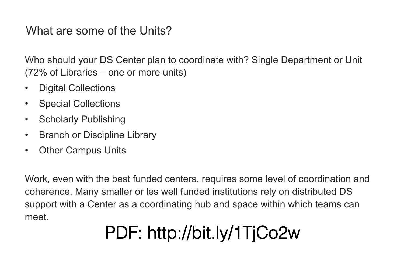#### What are some of the Units?

Who should your DS Center plan to coordinate with? Single Department or Unit (72% of Libraries – one or more units)

- Digital Collections
- Special Collections
- Scholarly Publishing
- **Branch or Discipline Library**
- Other Campus Units

Work, even with the best funded centers, requires some level of coordination and coherence. Many smaller or les well funded institutions rely on distributed DS support with a Center as a coordinating hub and space within which teams can meet.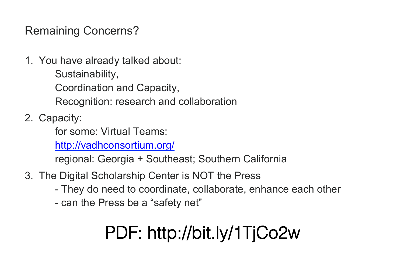Remaining Concerns?

1. You have already talked about: Sustainability, Coordination and Capacity, Recognition: research and collaboration

2. Capacity:

for some: Virtual Teams:

http://vadhconsortium.org/

regional: Georgia + Southeast; Southern California

- 3. The Digital Scholarship Center is NOT the Press
	- They do need to coordinate, collaborate, enhance each other
	- can the Press be a "safety net"